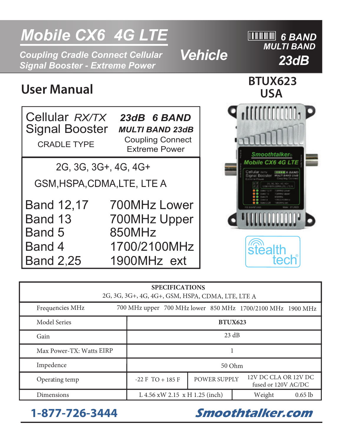# **Mobile CX6 4G LTE INCLUSIVE INCLUSIVE INCLUSIVE INCLUSIVE INCLUSIVE INCLUSIVE INCLUSIVE INCLUSIVE INCLUSIVE INCLUSIVE INCLUSIVE INCLUSIVE INCLUSIVE INCLUSIVE INCLUSIVE INCLUSIVE INCLUSIVE INCLUSIVE INCLUSIVE INCLUSIVE I** *23dB Coupling Cradle Connect Cellular Signal Booster - Extreme Power MULTI BAND* **User Manual BTUX623 USA**  *Vehicle*

Cellular *RX/TX*  Signal Booster CRADLE TYPE *MULTI BAND 23dB 23dB 6 BAND*  Coupling Connect Extreme Power

2G, 3G, 3G+, 4G, 4G+

GSM,HSPA,CDMA,LTE, LTE A

Band 12,17 Band 13 Band 5 Band 4 Band 2,25 700MHz Upper 850MHz 1700/2100MHz 1900MHz ext 700MHz Lower



| <b>SPECIFICATIONS</b><br>2G, 3G, 3G+, 4G, 4G+, GSM, HSPA, CDMA, LTE, LTE A |                                |                     |                                                            |  |  |
|----------------------------------------------------------------------------|--------------------------------|---------------------|------------------------------------------------------------|--|--|
| Frequencies MHz                                                            |                                |                     | 700 MHz upper 700 MHz lower 850 MHz 1700/2100 MHz 1900 MHz |  |  |
| Model Series                                                               | <b>BTUX623</b>                 |                     |                                                            |  |  |
| Gain                                                                       | 23 dB                          |                     |                                                            |  |  |
| Max Power-TX: Watts EIRP                                                   |                                |                     |                                                            |  |  |
| Impedence                                                                  | 50 Ohm                         |                     |                                                            |  |  |
| Operating temp                                                             | $-22$ F TO $+185$ F            | <b>POWER SUPPLY</b> | 12V DC CLA OR 12V DC<br>fused or 120V AC/DC                |  |  |
| Dimensions                                                                 | L 4.56 xW 2.15 x H 1.25 (inch) | Weight<br>$0.65$ lb |                                                            |  |  |

**1-877-726-3444 Smoothtalker.com**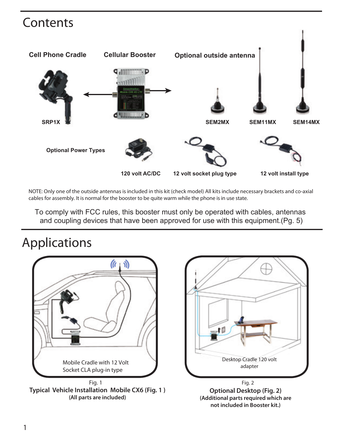### Contents



NOTE: Only one of the outside antennas is included in this kit (check model) All kits include necessary brackets and co-axial cables for assembly. It is normal for the booster to be quite warm while the phone is in use state.

To comply with FCC rules, this booster must only be operated with cables, antennas and coupling devices that have been approved for use with this equipment.(Pg. 5)

### Applications



**Typical Vehicle Installation Mobile CX6 (Fig. 1 ) (All parts are included)**



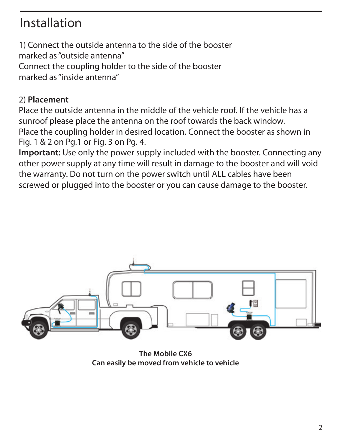### Installation

1) Connect the outside antenna to the side of the booster marked as "outside antenna" Connect the coupling holder to the side of the booster marked as "inside antenna"

#### 2) **Placement**

Place the outside antenna in the middle of the vehicle roof. If the vehicle has a sunroof please place the antenna on the roof towards the back window. Place the coupling holder in desired location. Connect the booster as shown in Fig. 1 & 2 on Pg.1 or Fig. 3 on Pg. 4.

**Important:** Use only the power supply included with the booster. Connecting any other power supply at any time will result in damage to the booster and will void the warranty. Do not turn on the power switch until ALL cables have been screwed or plugged into the booster or you can cause damage to the booster.



**The Mobile CX6 Can easily be moved from vehicle to vehicle**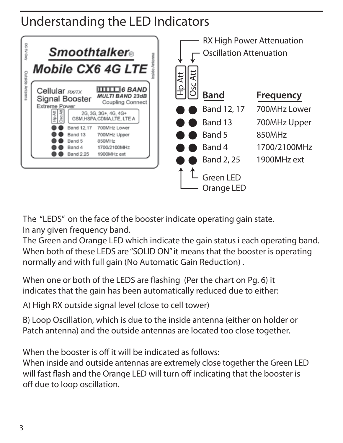### Understanding the LED Indicators



The "LEDS" on the face of the booster indicate operating gain state. In any given frequency band.

The Green and Orange LED which indicate the gain status i each operating band. When both of these LEDS are "SOLID ON" it means that the booster is operating normally and with full gain (No Automatic Gain Reduction) .

When one or both of the LEDS are flashing (Per the chart on Pg. 6) it indicates that the gain has been automatically reduced due to either:

A) High RX outside signal level (close to cell tower)

B) Loop Oscillation, which is due to the inside antenna (either on holder or Patch antenna) and the outside antennas are located too close together.

When the booster is off it will be indicated as follows:

When inside and outside antennas are extremely close together the Green LED will fast flash and the Orange LED will turn off indicating that the booster is off due to loop oscillation.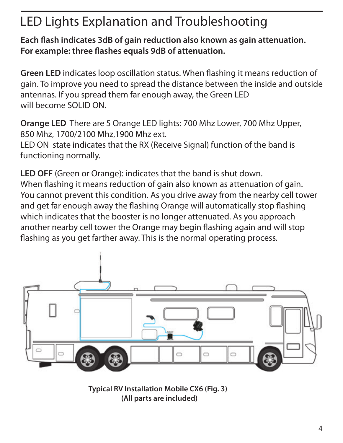# LED Lights Explanation and Troubleshooting

Each flash indicates 3dB of gain reduction also known as gain attenuation. For example: three flashes equals 9dB of attenuation.

**Green LED** indicates loop oscillation status. When flashing it means reduction of gain. To improve you need to spread the distance between the inside and outside antennas. If you spread them far enough away, the Green LED will become SOLID ON.

**Orange LED** There are 5 Orange LED lights: 700 Mhz Lower, 700 Mhz Upper, 850 Mhz, 1700/2100 Mhz,1900 Mhz ext.

LED ON state indicates that the RX (Receive Signal) function of the band is functioning normally.

**LED OFF** (Green or Orange): indicates that the band is shut down. When flashing it means reduction of gain also known as attenuation of gain. You cannot prevent this condition. As you drive away from the nearby cell tower and get far enough away the flashing Orange will automatically stop flashing which indicates that the booster is no longer attenuated. As you approach another nearby cell tower the Orange may begin flashing again and will stop flashing as you get farther away. This is the normal operating process.



**Typical RV Installation Mobile CX6 (Fig. 3) (All parts are included)**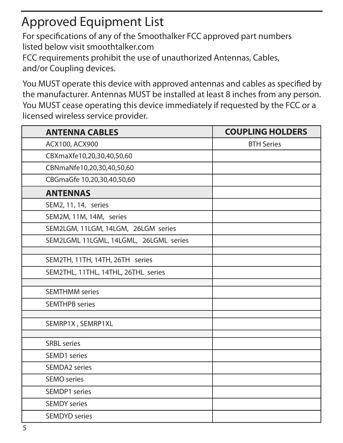# Approved Equipment List

For specifications of any of the Smoothalker FCC approved part numbers listed below visit smoothtalker.com

FCC requirements prohibit the use of unauthorized Antennas, Cables, and/or Coupling devices.

You MUST operate this device with approved antennas and cables as specified by the manufacturer. Antennas MUST be installed at least 8 inches from any person. You MUST cease operating this device immediately if requested by the FCC or a licensed wireless service provider.

| <b>ANTENNA CABLES</b>                  | <b>COUPLING HOLDERS</b> |
|----------------------------------------|-------------------------|
| ACX100, ACX900                         | <b>BTH Series</b>       |
| CBXmaXfe10,20,30,40,50,60              |                         |
| CBNmaNfe10,20,30,40,50,60              |                         |
| CBGmaGfe 10,20,30,40,50,60             |                         |
| <b>ANTENNAS</b>                        |                         |
| SEM2, 11, 14, series                   |                         |
| SEM2M, 11M, 14M, series                |                         |
| SEM2LGM, 11LGM, 14LGM, 26LGM series    |                         |
| SEM2LGML 11LGML, 14LGML, 26LGML series |                         |
|                                        |                         |
| SEM2TH, 11TH, 14TH, 26TH series        |                         |
| SEM2THL, 11THL, 14THL, 26THL series    |                         |
| <b>SEMTHMM</b> series                  |                         |
|                                        |                         |
| <b>SEMTHPB</b> series                  |                         |
| SEMRP1X, SEMRP1XL                      |                         |
|                                        |                         |
| <b>SRBL</b> series                     |                         |
| SEMD1 series                           |                         |
| <b>SEMDA2</b> series                   |                         |
| SEMO series                            |                         |
| SEMDP1 series                          |                         |
| <b>SEMDY</b> series                    |                         |
| <b>SEMDYD</b> series                   |                         |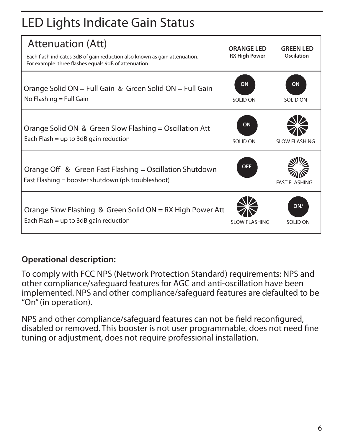# LED Lights Indicate Gain Status

| Attenuation (Att)<br>Each flash indicates 3dB of gain reduction also known as gain attenuation.<br>For example: three flashes equals 9dB of attenuation. | <b>ORANGE LED</b><br><b>RX High Power</b> | <b>GREEN LED</b><br>Oscilation |
|----------------------------------------------------------------------------------------------------------------------------------------------------------|-------------------------------------------|--------------------------------|
| Orange Solid ON = Full Gain & Green Solid ON = Full Gain<br>No Flashing = Full Gain                                                                      | ON<br>SOLID ON                            | ON<br>SOLID ON                 |
| Orange Solid ON & Green Slow Flashing = Oscillation Att<br>Each Flash = up to 3dB gain reduction                                                         | ON<br>SOLID ON                            | SLOW FLASHING                  |
| Orange Off & Green Fast Flashing = Oscillation Shutdown<br>Fast Flashing = booster shutdown (pls troubleshoot)                                           | OFF                                       | <b>FAST FI ASHING</b>          |
| Orange Slow Flashing & Green Solid ON = RX High Power Att<br>Each Flash = up to 3dB gain reduction                                                       | SLOW FLASHING                             | ON/<br>SOLID ON                |

#### **Operational description:**

To comply with FCC NPS (Network Protection Standard) requirements: NPS and other compliance/safeguard features for AGC and anti-oscillation have been implemented. NPS and other compliance/safeguard features are defaulted to be "On" (in operation).

NPS and other compliance/safeguard features can not be field reconfigured, disabled or removed. This booster is not user programmable, does not need fine tuning or adjustment, does not require professional installation.